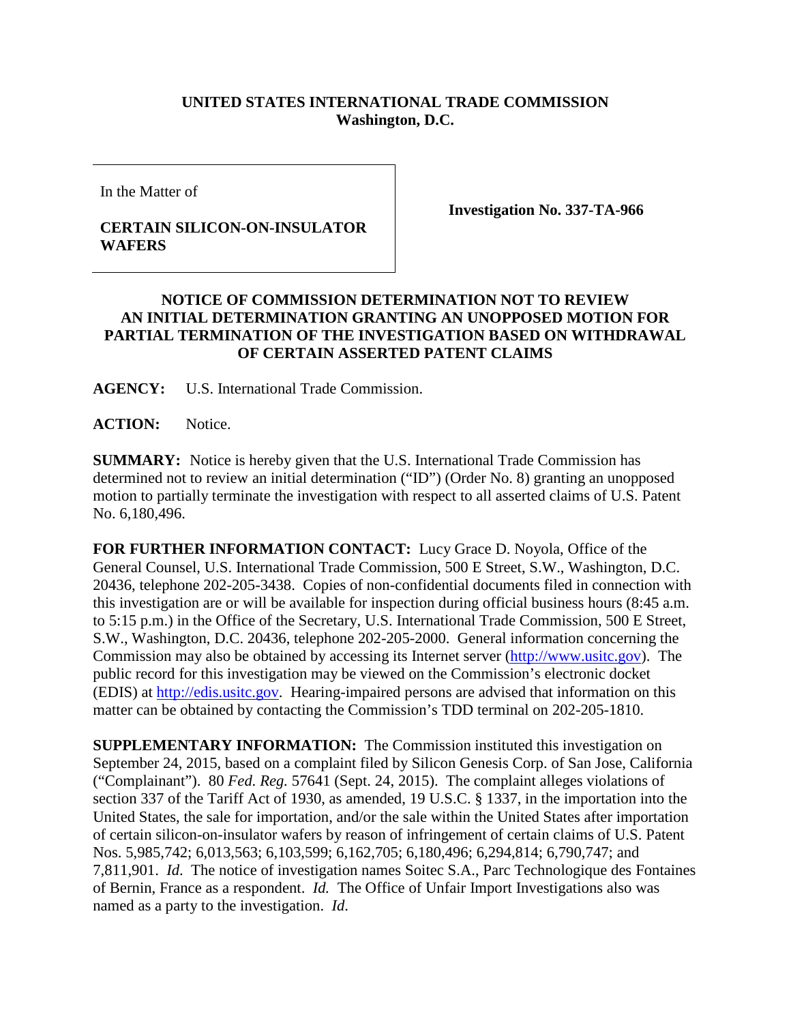## **UNITED STATES INTERNATIONAL TRADE COMMISSION Washington, D.C.**

In the Matter of

## **CERTAIN SILICON-ON-INSULATOR WAFERS**

**Investigation No. 337-TA-966**

## **NOTICE OF COMMISSION DETERMINATION NOT TO REVIEW AN INITIAL DETERMINATION GRANTING AN UNOPPOSED MOTION FOR PARTIAL TERMINATION OF THE INVESTIGATION BASED ON WITHDRAWAL OF CERTAIN ASSERTED PATENT CLAIMS**

**AGENCY:** U.S. International Trade Commission.

ACTION: Notice.

**SUMMARY:** Notice is hereby given that the U.S. International Trade Commission has determined not to review an initial determination ("ID") (Order No. 8) granting an unopposed motion to partially terminate the investigation with respect to all asserted claims of U.S. Patent No. 6,180,496.

**FOR FURTHER INFORMATION CONTACT:** Lucy Grace D. Noyola, Office of the General Counsel, U.S. International Trade Commission, 500 E Street, S.W., Washington, D.C. 20436, telephone 202-205-3438. Copies of non-confidential documents filed in connection with this investigation are or will be available for inspection during official business hours (8:45 a.m. to 5:15 p.m.) in the Office of the Secretary, U.S. International Trade Commission, 500 E Street, S.W., Washington, D.C. 20436, telephone 202-205-2000. General information concerning the Commission may also be obtained by accessing its Internet server [\(http://www.usitc.gov\)](http://www.usitc.gov/). The public record for this investigation may be viewed on the Commission's electronic docket (EDIS) at [http://edis.usitc.gov.](http://edis.usitc.gov/) Hearing-impaired persons are advised that information on this matter can be obtained by contacting the Commission's TDD terminal on 202-205-1810.

**SUPPLEMENTARY INFORMATION:** The Commission instituted this investigation on September 24, 2015, based on a complaint filed by Silicon Genesis Corp. of San Jose, California ("Complainant"). 80 *Fed. Reg.* 57641 (Sept. 24, 2015). The complaint alleges violations of section 337 of the Tariff Act of 1930, as amended, 19 U.S.C. § 1337, in the importation into the United States, the sale for importation, and/or the sale within the United States after importation of certain silicon-on-insulator wafers by reason of infringement of certain claims of U.S. Patent Nos. 5,985,742; 6,013,563; 6,103,599; 6,162,705; 6,180,496; 6,294,814; 6,790,747; and 7,811,901. *Id*. The notice of investigation names Soitec S.A., Parc Technologique des Fontaines of Bernin, France as a respondent. *Id.* The Office of Unfair Import Investigations also was named as a party to the investigation. *Id*.